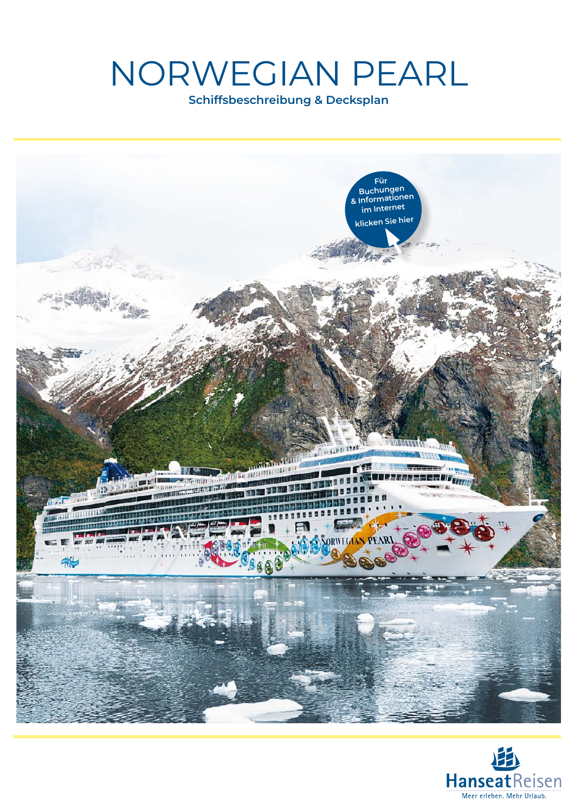# NORWEGIAN PEARL

**Schiffsbeschreibung & Decksplan**



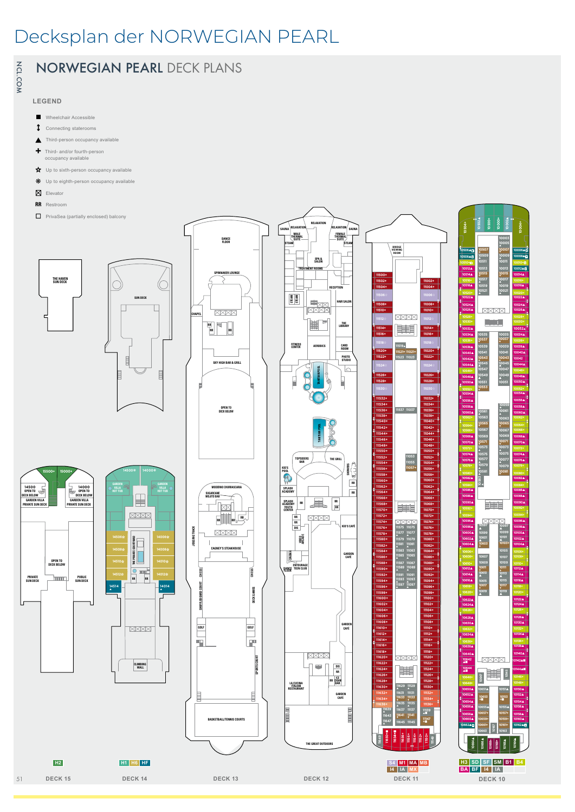## Decksplan der NORWEGIAN PEARL



## NORWEGIAN PEARL DECK PLANS

#### **LEGEND**

- Wheelchair Accessible
- Connecting staterooms
- Third-person occupancy available
- **+** Third- and/or fourth-person occupancy available
- ✩ Up to sixth-person occupancy available
- Up to eighth-person occupancy available
- $\boxtimes$  Elevator
- **RR** Restroom
- **T** PrivaSea (partially enclosed) balcony





**DANCE FLOOR**







**DECK 10 DECK 9 DECK 8 DECK 7 DECK 6 DECK 5 DECK 4**

**PRIVATE SUN DECK** 

**SUN DECK** 

**GARDEN VILLA PRIVATE SUN DECK** 

**14500**

**GARDEN VILLA PRIVATE SUN DECK** 

**14500 OPEN TO DECK BELOW**

**OPEN TO DECK BELOW**

**15500+ 15000+**

**15500+ 15000+**

**RR RR**

**CLIMBING WALL**

**RR RR**

**14500**❋ **14000**❋

**14500**❋ **14000**❋

**14514** ▲

**14506**✩ **14508**✩ **14510**✩ **14512**✩

**14506**✩ **14508**✩ **14510**✩ **14512**✩

**GARDEN HOT TUB**

**14514** ▲

**PUBLIC SUN DECK** 

**GARDEN VILLA PRIVATE SUN DECK** 

**14000 OPEN TO DECK BELOW**

**GARDEN VILLA PRIVATE SUN DECK 14000 OPEN TO DECK BELOW**

**DECK 13 DECK 12 DECK 11**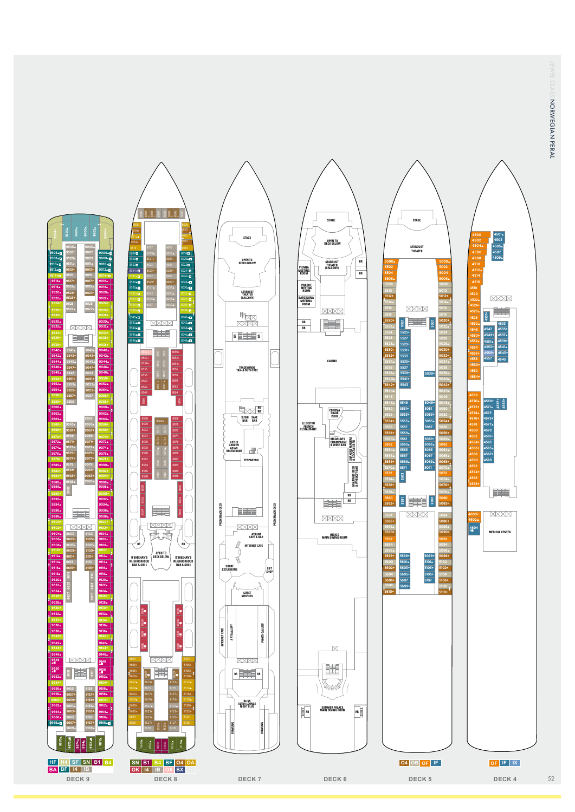NORWEGIAN PERAL